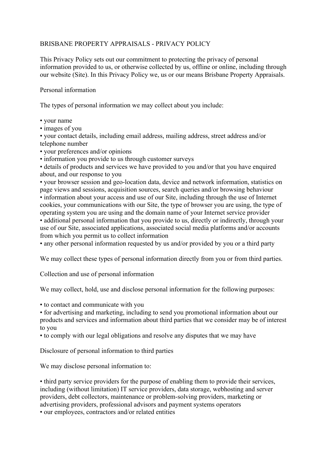# BRISBANE PROPERTY APPRAISALS - PRIVACY POLICY

This Privacy Policy sets out our commitment to protecting the privacy of personal information provided to us, or otherwise collected by us, offline or online, including through our website (Site). In this Privacy Policy we, us or our means Brisbane Property Appraisals.

## Personal information

The types of personal information we may collect about you include:

- your name
- images of you

• your contact details, including email address, mailing address, street address and/or telephone number

• your preferences and/or opinions

• information you provide to us through customer surveys

• details of products and services we have provided to you and/or that you have enquired about, and our response to you

• your browser session and geo-location data, device and network information, statistics on page views and sessions, acquisition sources, search queries and/or browsing behaviour • information about your access and use of our Site, including through the use of Internet cookies, your communications with our Site, the type of browser you are using, the type of operating system you are using and the domain name of your Internet service provider • additional personal information that you provide to us, directly or indirectly, through your use of our Site, associated applications, associated social media platforms and/or accounts from which you permit us to collect information

• any other personal information requested by us and/or provided by you or a third party

We may collect these types of personal information directly from you or from third parties.

Collection and use of personal information

We may collect, hold, use and disclose personal information for the following purposes:

• to contact and communicate with you

• for advertising and marketing, including to send you promotional information about our products and services and information about third parties that we consider may be of interest to you

• to comply with our legal obligations and resolve any disputes that we may have

Disclosure of personal information to third parties

We may disclose personal information to:

• third party service providers for the purpose of enabling them to provide their services, including (without limitation) IT service providers, data storage, webhosting and server providers, debt collectors, maintenance or problem-solving providers, marketing or advertising providers, professional advisors and payment systems operators • our employees, contractors and/or related entities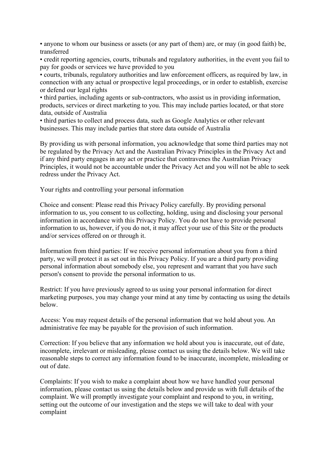• anyone to whom our business or assets (or any part of them) are, or may (in good faith) be, transferred

• credit reporting agencies, courts, tribunals and regulatory authorities, in the event you fail to pay for goods or services we have provided to you

• courts, tribunals, regulatory authorities and law enforcement officers, as required by law, in connection with any actual or prospective legal proceedings, or in order to establish, exercise or defend our legal rights

• third parties, including agents or sub-contractors, who assist us in providing information, products, services or direct marketing to you. This may include parties located, or that store data, outside of Australia

• third parties to collect and process data, such as Google Analytics or other relevant businesses. This may include parties that store data outside of Australia

By providing us with personal information, you acknowledge that some third parties may not be regulated by the Privacy Act and the Australian Privacy Principles in the Privacy Act and if any third party engages in any act or practice that contravenes the Australian Privacy Principles, it would not be accountable under the Privacy Act and you will not be able to seek redress under the Privacy Act.

Your rights and controlling your personal information

Choice and consent: Please read this Privacy Policy carefully. By providing personal information to us, you consent to us collecting, holding, using and disclosing your personal information in accordance with this Privacy Policy. You do not have to provide personal information to us, however, if you do not, it may affect your use of this Site or the products and/or services offered on or through it.

Information from third parties: If we receive personal information about you from a third party, we will protect it as set out in this Privacy Policy. If you are a third party providing personal information about somebody else, you represent and warrant that you have such person's consent to provide the personal information to us.

Restrict: If you have previously agreed to us using your personal information for direct marketing purposes, you may change your mind at any time by contacting us using the details below.

Access: You may request details of the personal information that we hold about you. An administrative fee may be payable for the provision of such information.

Correction: If you believe that any information we hold about you is inaccurate, out of date, incomplete, irrelevant or misleading, please contact us using the details below. We will take reasonable steps to correct any information found to be inaccurate, incomplete, misleading or out of date.

Complaints: If you wish to make a complaint about how we have handled your personal information, please contact us using the details below and provide us with full details of the complaint. We will promptly investigate your complaint and respond to you, in writing, setting out the outcome of our investigation and the steps we will take to deal with your complaint